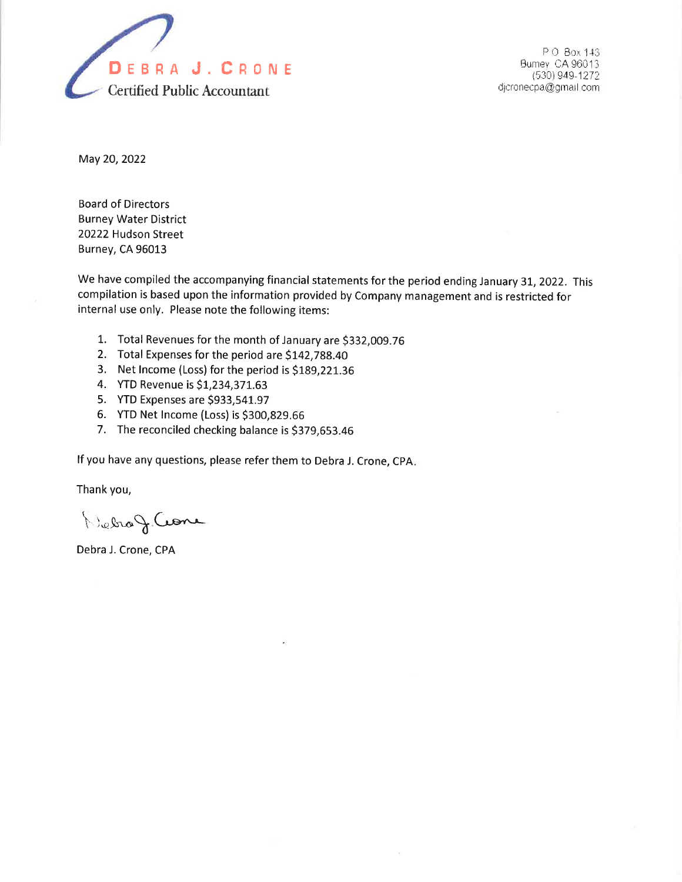

P O Box 143 Burney, CA 96013 (530) 949-1272 dicronecpa@gmail.com

May 20,2022

Board of Directors Burney Water District 20222 Hudson Street Burney, CA 96013

We have compiled the accompanying financial statements for the period ending January 31, 2022. This compilation is based upon the information provided by Company management and is restricted for internal use only. Please note the following items:

- 1. Total Revenues for the month of January are \$332,009.76<br>2. Total Expenses for the period are \$142,788.40
- 
- 3. Net lncome (Loss) for the period is 5189,221.36 4. YTD Revenue is S1,234,371.63
- 
- 5. YTD Expenses are \$933,541.97
- 6. YTD Net lncome (Loss) is 5300,829.66
- 7. The reconciled checking balance is \$379,653.46

lf you have any questions, please refer them to Debra J. Crone, CpA

Thank you,

 $\bigwedge_{k\in\mathfrak{K}}\mathfrak{g}_{k}\subset\mathfrak{C}$ one

Debra J. Crone, CPA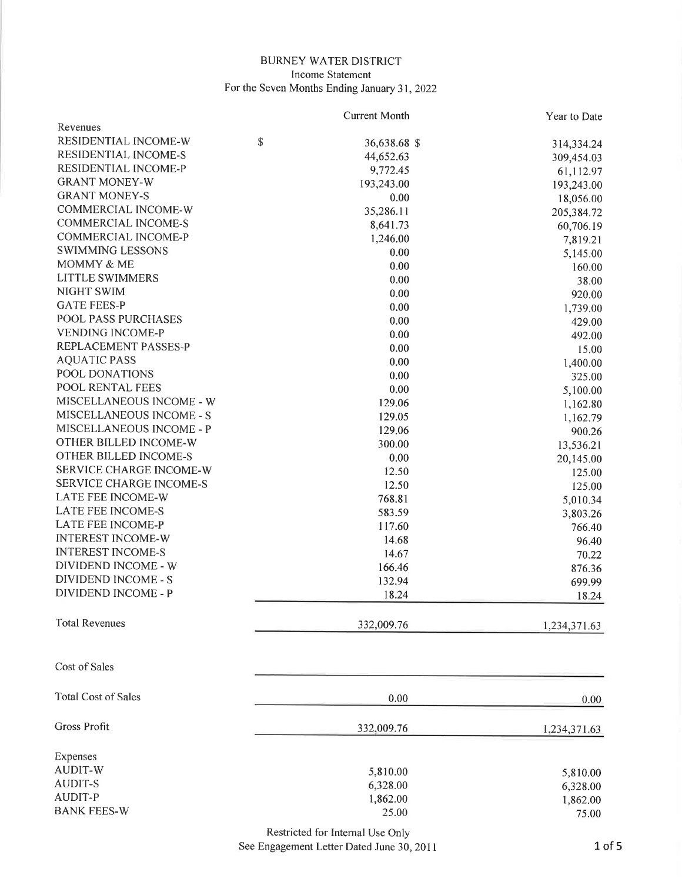## BURNEY WATER DISTRICT Income Statement For the Seven Months Ending January 31,2022

|                                | <b>Current Month</b> | Year to Date |
|--------------------------------|----------------------|--------------|
| Revenues                       |                      |              |
| RESIDENTIAL INCOME-W           | \$<br>36,638.68 \$   | 314,334.24   |
| RESIDENTIAL INCOME-S           | 44,652.63            | 309,454.03   |
| RESIDENTIAL INCOME-P           | 9,772.45             | 61,112.97    |
| <b>GRANT MONEY-W</b>           | 193,243.00           | 193,243.00   |
| <b>GRANT MONEY-S</b>           | $0.00\,$             | 18,056.00    |
| COMMERCIAL INCOME-W            | 35,286.11            | 205,384.72   |
| <b>COMMERCIAL INCOME-S</b>     | 8,641.73             | 60,706.19    |
| <b>COMMERCIAL INCOME-P</b>     | 1,246.00             | 7,819.21     |
| <b>SWIMMING LESSONS</b>        | 0.00                 | 5,145.00     |
| MOMMY & ME                     | 0.00                 | 160.00       |
| <b>LITTLE SWIMMERS</b>         | 0.00                 | 38.00        |
| NIGHT SWIM                     | 0.00                 | 920.00       |
| <b>GATE FEES-P</b>             | 0.00                 | 1,739.00     |
| POOL PASS PURCHASES            | 0.00                 | 429.00       |
| <b>VENDING INCOME-P</b>        | 0.00                 |              |
| REPLACEMENT PASSES-P           | 0.00                 | 492.00       |
| <b>AQUATIC PASS</b>            | 0.00                 | 15.00        |
| POOL DONATIONS                 |                      | 1,400.00     |
| POOL RENTAL FEES               | 0.00                 | 325.00       |
| MISCELLANEOUS INCOME - W       | 0.00                 | 5,100.00     |
| MISCELLANEOUS INCOME - S       | 129.06               | 1,162.80     |
| MISCELLANEOUS INCOME - P       | 129.05               | 1,162.79     |
| OTHER BILLED INCOME-W          | 129.06               | 900.26       |
|                                | 300.00               | 13,536.21    |
| OTHER BILLED INCOME-S          | 0.00                 | 20,145.00    |
| SERVICE CHARGE INCOME-W        | 12.50                | 125.00       |
| <b>SERVICE CHARGE INCOME-S</b> | 12.50                | 125.00       |
| LATE FEE INCOME-W              | 768.81               | 5,010.34     |
| <b>LATE FEE INCOME-S</b>       | 583.59               | 3,803.26     |
| <b>LATE FEE INCOME-P</b>       | 117.60               | 766.40       |
| <b>INTEREST INCOME-W</b>       | 14.68                | 96.40        |
| <b>INTEREST INCOME-S</b>       | 14.67                | 70.22        |
| DIVIDEND INCOME - W            | 166.46               | 876.36       |
| <b>DIVIDEND INCOME - S</b>     | 132.94               | 699.99       |
| <b>DIVIDEND INCOME - P</b>     | 18.24                | 18.24        |
| <b>Total Revenues</b>          | 332,009.76           | 1,234,371.63 |
| Cost of Sales                  |                      |              |
| <b>Total Cost of Sales</b>     | 0.00                 | 0.00         |
| <b>Gross Profit</b>            | 332,009.76           | 1,234,371.63 |
| Expenses                       |                      |              |
| <b>AUDIT-W</b>                 | 5,810.00             | 5,810.00     |
| <b>AUDIT-S</b>                 | 6,328.00             |              |
| <b>AUDIT-P</b>                 | 1,862.00             | 6,328.00     |
| <b>BANK FEES-W</b>             | 25.00                | 1,862.00     |
|                                |                      | 75.00        |

Restricted for Internal Use Only

See Engagement Letter Dated June 30,2011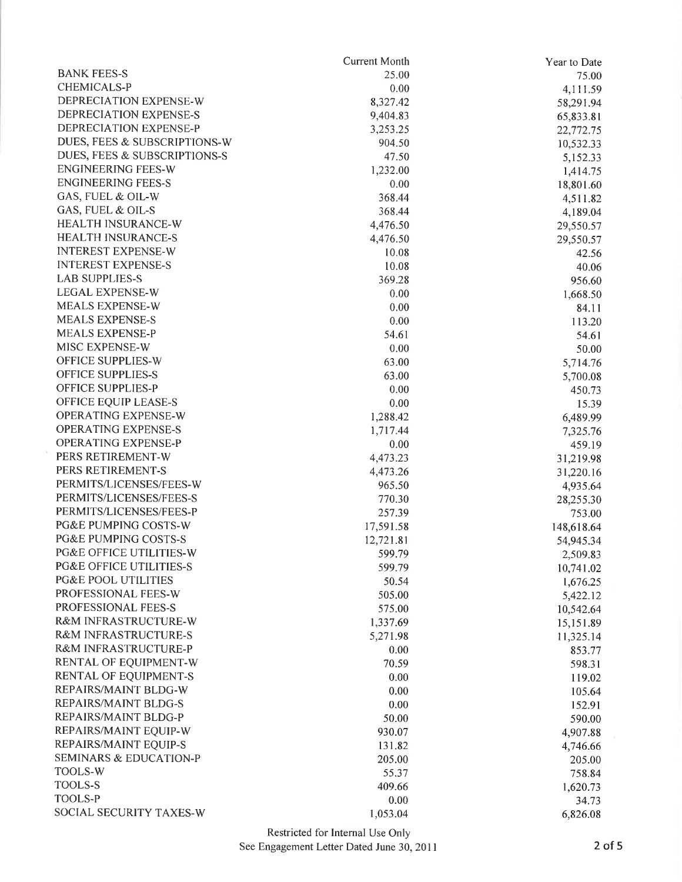|                                    | <b>Current Month</b> | Year to Date |
|------------------------------------|----------------------|--------------|
| <b>BANK FEES-S</b>                 | 25.00                | 75.00        |
| CHEMICALS-P                        | 0.00                 | 4,111.59     |
| DEPRECIATION EXPENSE-W             | 8,327.42             | 58,291.94    |
| DEPRECIATION EXPENSE-S             | 9,404.83             | 65,833.81    |
| DEPRECIATION EXPENSE-P             | 3,253.25             | 22,772.75    |
| DUES, FEES & SUBSCRIPTIONS-W       | 904.50               | 10,532.33    |
| DUES, FEES & SUBSCRIPTIONS-S       | 47.50                | 5,152.33     |
| <b>ENGINEERING FEES-W</b>          | 1,232.00             | 1,414.75     |
| <b>ENGINEERING FEES-S</b>          | 0.00                 | 18,801.60    |
| GAS, FUEL & OIL-W                  | 368.44               | 4,511.82     |
| GAS, FUEL & OIL-S                  | 368.44               | 4,189.04     |
| HEALTH INSURANCE-W                 | 4,476.50             | 29,550.57    |
| <b>HEALTH INSURANCE-S</b>          | 4,476.50             | 29,550.57    |
| <b>INTEREST EXPENSE-W</b>          | 10.08                | 42.56        |
| <b>INTEREST EXPENSE-S</b>          | 10.08                | 40.06        |
| <b>LAB SUPPLIES-S</b>              | 369.28               | 956.60       |
| <b>LEGAL EXPENSE-W</b>             | 0.00                 | 1,668.50     |
| MEALS EXPENSE-W                    | 0.00                 | 84.11        |
| <b>MEALS EXPENSE-S</b>             | 0.00                 | 113.20       |
| <b>MEALS EXPENSE-P</b>             | 54.61                | 54.61        |
| MISC EXPENSE-W                     | 0.00                 | 50.00        |
| OFFICE SUPPLIES-W                  | 63.00                | 5,714.76     |
| OFFICE SUPPLIES-S                  | 63.00                | 5,700.08     |
| <b>OFFICE SUPPLIES-P</b>           | 0.00                 | 450.73       |
| OFFICE EQUIP LEASE-S               | 0.00                 | 15.39        |
| OPERATING EXPENSE-W                | 1,288.42             | 6,489.99     |
| <b>OPERATING EXPENSE-S</b>         | 1,717.44             | 7,325.76     |
| OPERATING EXPENSE-P                | 0.00                 | 459.19       |
| PERS RETIREMENT-W                  | 4,473.23             | 31,219.98    |
| PERS RETIREMENT-S                  | 4,473.26             | 31,220.16    |
| PERMITS/LICENSES/FEES-W            | 965.50               | 4,935.64     |
| PERMITS/LICENSES/FEES-S            | 770.30               | 28,255.30    |
| PERMITS/LICENSES/FEES-P            | 257.39               | 753.00       |
| PG&E PUMPING COSTS-W               | 17,591.58            | 148,618.64   |
| PG&E PUMPING COSTS-S               | 12,721.81            | 54,945.34    |
| PG&E OFFICE UTILITIES-W            | 599.79               | 2,509.83     |
| <b>PG&amp;E OFFICE UTILITIES-S</b> | 599.79               | 10,741.02    |
| <b>PG&amp;E POOL UTILITIES</b>     | 50.54                | 1,676.25     |
| PROFESSIONAL FEES-W                | 505.00               | 5,422.12     |
| PROFESSIONAL FEES-S                | 575.00               | 10,542.64    |
| R&M INFRASTRUCTURE-W               | 1,337.69             | 15,151.89    |
| R&M INFRASTRUCTURE-S               | 5,271.98             | 11,325.14    |
| R&M INFRASTRUCTURE-P               | 0.00                 | 853.77       |
| RENTAL OF EQUIPMENT-W              | 70.59                | 598.31       |
| RENTAL OF EQUIPMENT-S              | 0.00                 | 119.02       |
| REPAIRS/MAINT BLDG-W               | 0.00                 | 105.64       |
| REPAIRS/MAINT BLDG-S               | 0.00                 | 152.91       |
| REPAIRS/MAINT BLDG-P               | 50.00                | 590.00       |
| REPAIRS/MAINT EQUIP-W              | 930.07               | 4,907.88     |
| REPAIRS/MAINT EQUIP-S              | 131.82               | 4,746.66     |
| <b>SEMINARS &amp; EDUCATION-P</b>  | 205.00               | 205.00       |
| <b>TOOLS-W</b>                     | 55.37                | 758.84       |
| <b>TOOLS-S</b>                     | 409.66               | 1,620.73     |
| TOOLS-P                            | 0.00                 | 34.73        |
| SOCIAL SECURITY TAXES-W            | 1,053.04             | 6,826.08     |
|                                    |                      |              |

 $\sim$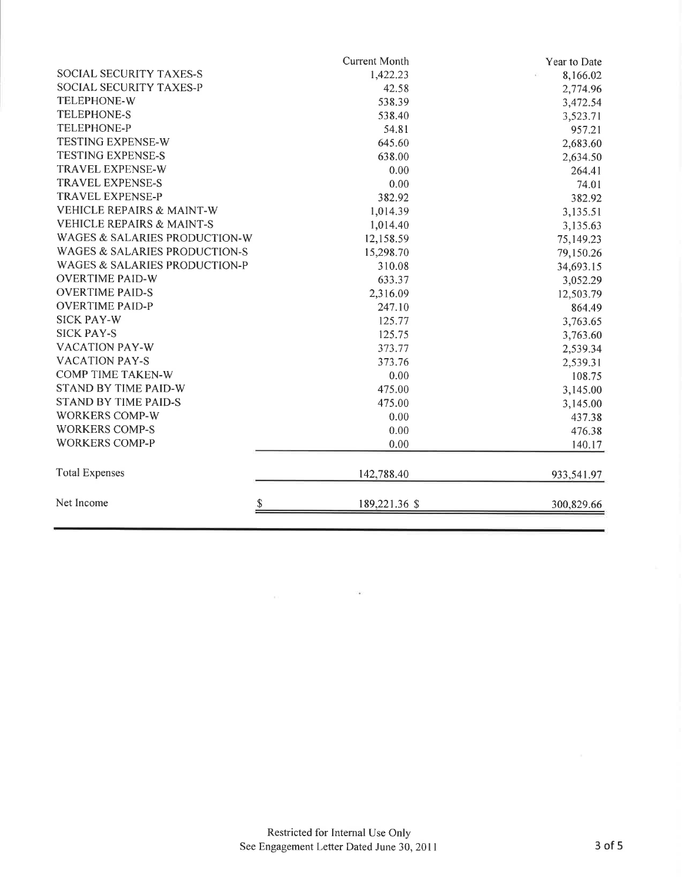|                                          | <b>Current Month</b> | Year to Date |
|------------------------------------------|----------------------|--------------|
| <b>SOCIAL SECURITY TAXES-S</b>           | 1,422.23             | 8,166.02     |
| SOCIAL SECURITY TAXES-P                  | 42.58                | 2,774.96     |
| <b>TELEPHONE-W</b>                       | 538.39               | 3,472.54     |
| <b>TELEPHONE-S</b>                       | 538.40               | 3,523.71     |
| <b>TELEPHONE-P</b>                       | 54.81                | 957.21       |
| <b>TESTING EXPENSE-W</b>                 | 645.60               | 2,683.60     |
| <b>TESTING EXPENSE-S</b>                 | 638.00               | 2,634.50     |
| <b>TRAVEL EXPENSE-W</b>                  | 0.00                 | 264.41       |
| <b>TRAVEL EXPENSE-S</b>                  | 0.00                 | 74.01        |
| <b>TRAVEL EXPENSE-P</b>                  | 382.92               | 382.92       |
| <b>VEHICLE REPAIRS &amp; MAINT-W</b>     | 1,014.39             | 3,135.51     |
| <b>VEHICLE REPAIRS &amp; MAINT-S</b>     | 1,014.40             | 3,135.63     |
| WAGES & SALARIES PRODUCTION-W            | 12,158.59            | 75,149.23    |
| <b>WAGES &amp; SALARIES PRODUCTION-S</b> | 15,298.70            | 79,150.26    |
| <b>WAGES &amp; SALARIES PRODUCTION-P</b> | 310.08               | 34,693.15    |
| <b>OVERTIME PAID-W</b>                   | 633.37               | 3,052.29     |
| <b>OVERTIME PAID-S</b>                   | 2,316.09             | 12,503.79    |
| <b>OVERTIME PAID-P</b>                   | 247.10               | 864.49       |
| <b>SICK PAY-W</b>                        | 125.77               | 3,763.65     |
| <b>SICK PAY-S</b>                        | 125.75               | 3,763.60     |
| <b>VACATION PAY-W</b>                    | 373.77               | 2,539.34     |
| <b>VACATION PAY-S</b>                    | 373.76               | 2,539.31     |
| <b>COMP TIME TAKEN-W</b>                 | 0.00                 | 108.75       |
| <b>STAND BY TIME PAID-W</b>              | 475.00               | 3,145.00     |
| <b>STAND BY TIME PAID-S</b>              | 475.00               | 3,145.00     |
| <b>WORKERS COMP-W</b>                    | 0.00                 | 437.38       |
| <b>WORKERS COMP-S</b>                    | 0.00                 | 476.38       |
| <b>WORKERS COMP-P</b>                    | 0.00                 | 140.17       |
| <b>Total Expenses</b>                    | 142,788.40           | 933,541.97   |
| Net Income                               | S<br>189,221.36 \$   | 300,829.66   |

 $\langle\langle\hat{\mathbf{u}}\rangle\rangle$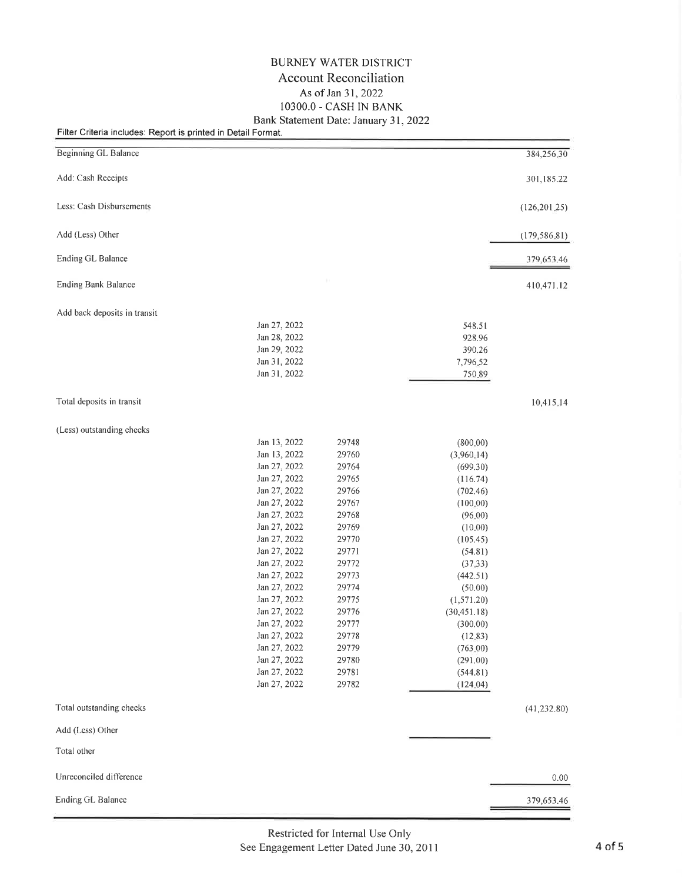## BURNEY WATER DISTRICT Account Reconciliation As of Jan 31, 2022 1O3OO.O - CASH IN BANK Bank Statement Date: January 31,2022

## Filter Criteria includes: Report is printed in Detail Format.

| <b>Beginning GL Balance</b>  |                                     | 384,256,30     |
|------------------------------|-------------------------------------|----------------|
| Add: Cash Receipts           |                                     | 301,185.22     |
| Less: Cash Disbursements     |                                     | (126, 201, 25) |
| Add (Less) Other             |                                     | (179, 586, 81) |
| Ending GL Balance            |                                     | 379,653.46     |
| <b>Ending Bank Balance</b>   |                                     | 410,471.12     |
| Add back deposits in transit |                                     |                |
| Jan 27, 2022                 | 548.51                              |                |
| Jan 28, 2022                 | 928.96                              |                |
| Jan 29, 2022                 | 390.26                              |                |
| Jan 31, 2022                 | 7,796.52                            |                |
| Jan 31, 2022                 | 750.89                              |                |
| Total deposits in transit    |                                     | 10,415,14      |
| (Less) outstanding checks    |                                     |                |
| Jan 13, 2022                 | 29748<br>(800, 00)                  |                |
| Jan 13, 2022                 | 29760<br>(3,960,14)                 |                |
| Jan 27, 2022                 | 29764<br>(699.30)                   |                |
| Jan 27, 2022                 | 29765<br>(116.74)                   |                |
| Jan 27, 2022                 | 29766<br>(702.46)                   |                |
| Jan 27, 2022                 | 29767<br>(100.00)                   |                |
| Jan 27, 2022                 | 29768<br>(96.00)                    |                |
| Jan 27, 2022                 | 29769<br>(10.00)                    |                |
| Jan 27, 2022                 | 29770<br>(105.45)                   |                |
| Jan 27, 2022                 | 29771<br>(54.81)                    |                |
| Jan 27, 2022                 | 29772<br>(37.33)                    |                |
| Jan 27, 2022                 | 29773<br>(442.51)                   |                |
| Jan 27, 2022<br>Jan 27, 2022 | 29774<br>(50.00)<br>29775           |                |
| Jan 27, 2022                 | (1,571.20)<br>29776<br>(30, 451.18) |                |
| Jan 27, 2022                 | 29777<br>(300.00)                   |                |
| Jan 27, 2022                 | 29778<br>(12.83)                    |                |
| Jan 27, 2022                 | 29779<br>(763, 00)                  |                |
| Jan 27, 2022                 | 29780<br>(291.00)                   |                |
| Jan 27, 2022                 | 29781<br>(544.81)                   |                |
| Jan 27, 2022                 | 29782<br>(124.04)                   |                |
| Total outstanding checks     |                                     | (41, 232.80)   |
| Add (Less) Other             |                                     |                |
| Total other                  |                                     |                |
| Unreconciled difference      |                                     | 0.00           |
| Ending GL Balance            |                                     | 379,653.46     |